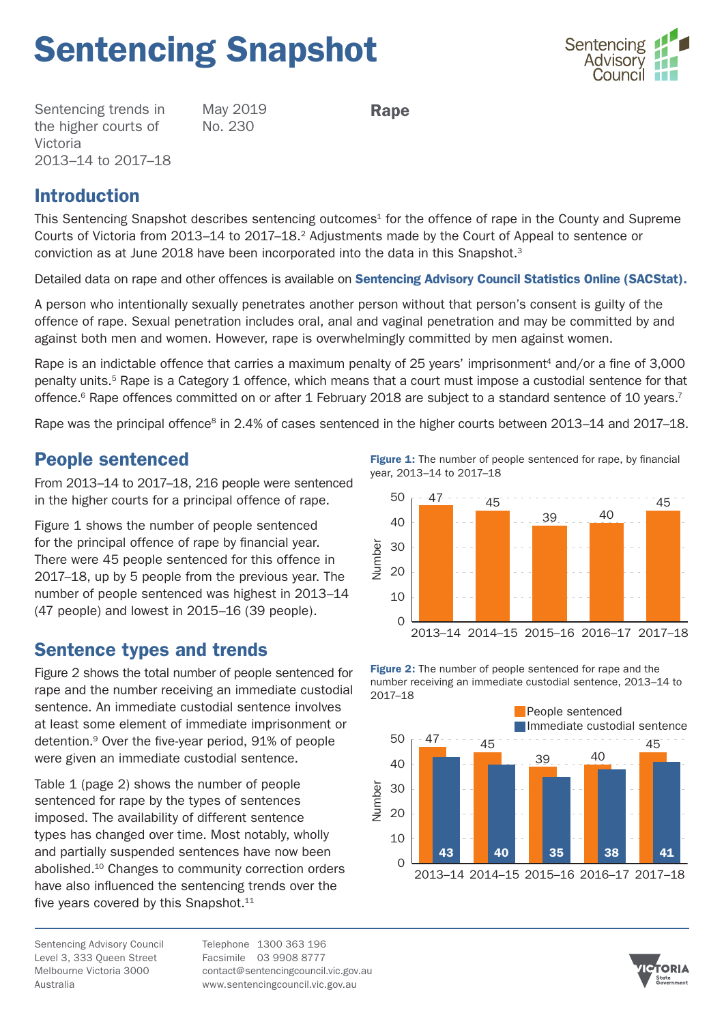# Sentencing Snapshot



Sentencing trends in the higher courts of Victoria 2013–14 to 2017–18 May 2019 No. 230

Rape

## Introduction

This Sentencing Snapshot describes sentencing outcomes<sup>1</sup> for the offence of rape in the County and Supreme Courts of Victoria from 2013–14 to 2017–18.2 Adjustments made by the Court of Appeal to sentence or conviction as at June 2018 have been incorporated into the data in this Snapshot.<sup>3</sup>

Detailed data on rape and other offences is available on [Sentencing Advisory Council Statistics Online \(SACStat\).](https://www.sentencingcouncil.vic.gov.au/sacstat/higher_courts/HC_6231_38_1.html)

A person who intentionally sexually penetrates another person without that person's consent is guilty of the offence of rape. Sexual penetration includes oral, anal and vaginal penetration and may be committed by and against both men and women. However, rape is overwhelmingly committed by men against women.

Rape is an indictable offence that carries a maximum penalty of 25 years' imprisonment4 and/or a fine of 3,000 penalty units.5 Rape is a Category 1 offence, which means that a court must impose a custodial sentence for that offence.<sup>6</sup> Rape offences committed on or after 1 February 2018 are subject to a standard sentence of 10 years.<sup>7</sup>

Rape was the principal offence<sup>8</sup> in 2.4% of cases sentenced in the higher courts between 2013–14 and 2017–18.

## People sentenced

From 2013–14 to 2017–18, 216 people were sentenced in the higher courts for a principal offence of rape.

Figure 1 shows the number of people sentenced for the principal offence of rape by financial year. There were 45 people sentenced for this offence in 2017–18, up by 5 people from the previous year. The number of people sentenced was highest in 2013–14 (47 people) and lowest in 2015–16 (39 people).

## Sentence types and trends

Figure 2 shows the total number of people sentenced for rape and the number receiving an immediate custodial sentence. An immediate custodial sentence involves at least some element of immediate imprisonment or detention.9 Over the five-year period, 91% of people were given an immediate custodial sentence.

Table 1 (page 2) shows the number of people sentenced for rape by the types of sentences imposed. The availability of different sentence types has changed over time. Most notably, wholly and partially suspended sentences have now been abolished.10 Changes to community correction orders have also influenced the sentencing trends over the five years covered by this Snapshot.<sup>11</sup>

Sentencing Advisory Council Level 3, 333 Queen Street Melbourne Victoria 3000 Australia

Telephone 1300 363 196 Facsimile 03 9908 8777 [contact@sentencingcouncil.vic.gov.au](mailto:contact@sentencingcouncil.vic.gov.au) <www.sentencingcouncil.vic.gov.au>

Figure 1: The number of people sentenced for rape, by financial year, 2013–14 to 2017–18



Figure 2: The number of people sentenced for rape and the number receiving an immediate custodial sentence, 2013–14 to 2017–18



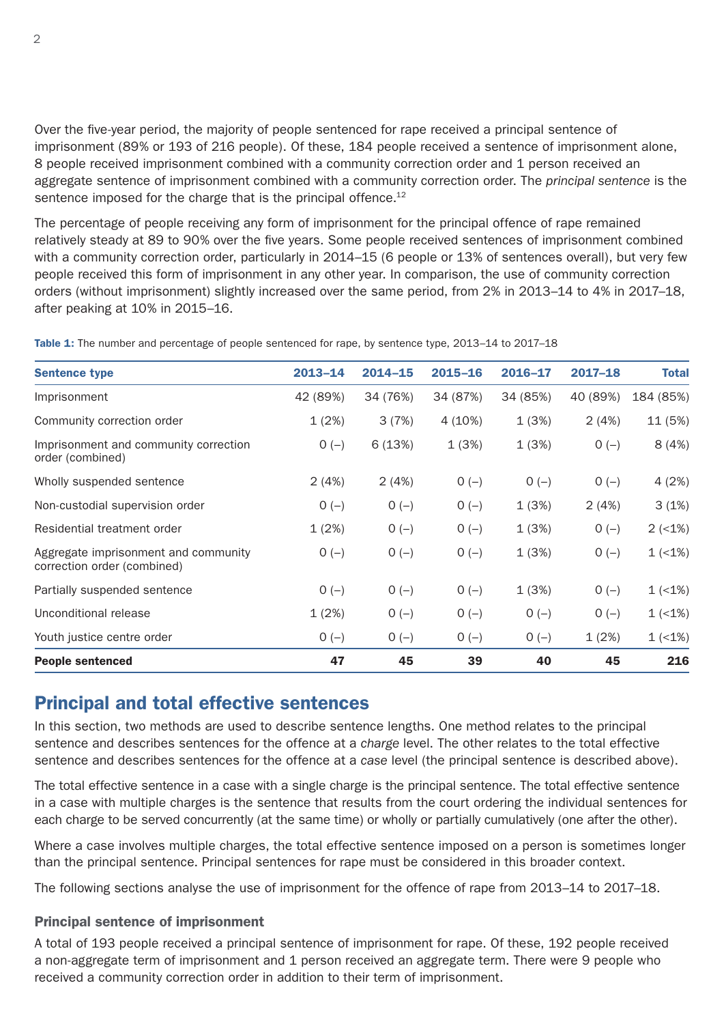Over the five-year period, the majority of people sentenced for rape received a principal sentence of imprisonment (89% or 193 of 216 people). Of these, 184 people received a sentence of imprisonment alone, 8 people received imprisonment combined with a community correction order and 1 person received an aggregate sentence of imprisonment combined with a community correction order. The *principal sentence* is the sentence imposed for the charge that is the principal offence.<sup>12</sup>

The percentage of people receiving any form of imprisonment for the principal offence of rape remained relatively steady at 89 to 90% over the five years. Some people received sentences of imprisonment combined with a community correction order, particularly in 2014–15 (6 people or 13% of sentences overall), but very few people received this form of imprisonment in any other year. In comparison, the use of community correction orders (without imprisonment) slightly increased over the same period, from 2% in 2013–14 to 4% in 2017–18, after peaking at 10% in 2015–16.

| <b>Sentence type</b>                                                | $2013 - 14$ | $2014 - 15$ | $2015 - 16$ | 2016-17  | $2017 - 18$ | <b>Total</b> |
|---------------------------------------------------------------------|-------------|-------------|-------------|----------|-------------|--------------|
|                                                                     |             |             |             |          |             |              |
| Imprisonment                                                        | 42 (89%)    | 34 (76%)    | 34 (87%)    | 34 (85%) | 40 (89%)    | 184 (85%)    |
| Community correction order                                          | 1(2%)       | 3(7%)       | 4 (10%)     | 1(3%)    | 2(4%)       | 11 (5%)      |
| Imprisonment and community correction<br>order (combined)           | $O(-)$      | 6(13%)      | 1(3%)       | 1(3%)    | $O(-)$      | 8(4%)        |
| Wholly suspended sentence                                           | 2(4%)       | 2(4%)       | $O(-)$      | $O(-)$   | $O(-)$      | 4(2%)        |
| Non-custodial supervision order                                     | $O(-)$      | $O(-)$      | $O(-)$      | 1(3%)    | 2(4%)       | 3(1%)        |
| Residential treatment order                                         | 1(2%)       | $O(-)$      | $O(-)$      | 1(3%)    | $O(-)$      | $2 (-1%)$    |
| Aggregate imprisonment and community<br>correction order (combined) | $O(-)$      | $O(-)$      | $O(-)$      | 1(3%)    | $O(-)$      | $1$ (<1%)    |
| Partially suspended sentence                                        | $O(-)$      | $O(-)$      | $O(-)$      | 1(3%)    | $O(-)$      | $1$ (<1%)    |
| Unconditional release                                               | 1(2%)       | $O(-)$      | $O(-)$      | $O(-)$   | $O(-)$      | $1$ (<1%)    |
| Youth justice centre order                                          | $O(-)$      | $O(-)$      | $O(-)$      | $O(-)$   | 1(2%)       | $1$ (<1%)    |
| <b>People sentenced</b>                                             | 47          | 45          | 39          | 40       | 45          | 216          |

Table 1: The number and percentage of people sentenced for rape, by sentence type, 2013–14 to 2017–18

## Principal and total effective sentences

In this section, two methods are used to describe sentence lengths. One method relates to the principal sentence and describes sentences for the offence at a *charge* level. The other relates to the total effective sentence and describes sentences for the offence at a *case* level (the principal sentence is described above).

The total effective sentence in a case with a single charge is the principal sentence. The total effective sentence in a case with multiple charges is the sentence that results from the court ordering the individual sentences for each charge to be served concurrently (at the same time) or wholly or partially cumulatively (one after the other).

Where a case involves multiple charges, the total effective sentence imposed on a person is sometimes longer than the principal sentence. Principal sentences for rape must be considered in this broader context.

The following sections analyse the use of imprisonment for the offence of rape from 2013–14 to 2017–18.

#### Principal sentence of imprisonment

A total of 193 people received a principal sentence of imprisonment for rape. Of these, 192 people received a non-aggregate term of imprisonment and 1 person received an aggregate term. There were 9 people who received a community correction order in addition to their term of imprisonment.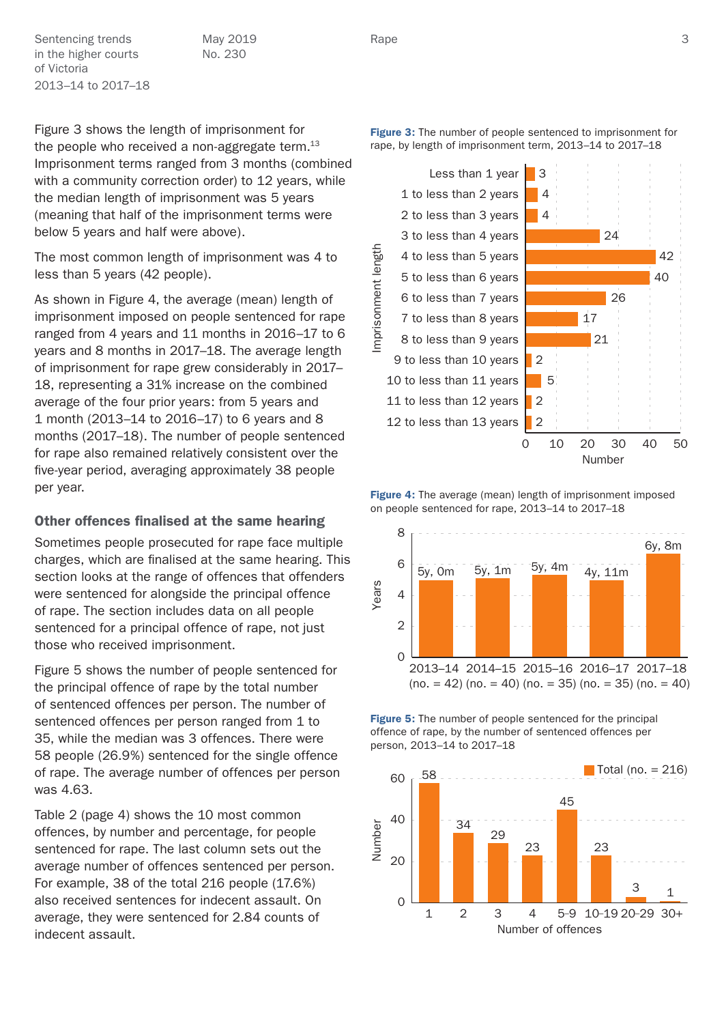Sentencing trends May 2019 Rape Rape 3 in the higher courts of Victoria 2013–14 to 2017–18

May 2019 No. 230

Figure 3 shows the length of imprisonment for the people who received a non-aggregate term. $13$ Imprisonment terms ranged from 3 months (combined with a community correction order) to 12 years, while the median length of imprisonment was 5 years (meaning that half of the imprisonment terms were below 5 years and half were above).

The most common length of imprisonment was 4 to less than 5 years (42 people).

As shown in Figure 4, the average (mean) length of imprisonment imposed on people sentenced for rape ranged from 4 years and 11 months in 2016–17 to 6 years and 8 months in 2017–18. The average length of imprisonment for rape grew considerably in 2017– 18, representing a 31% increase on the combined average of the four prior years: from 5 years and 1 month (2013–14 to 2016–17) to 6 years and 8 months (2017–18). The number of people sentenced for rape also remained relatively consistent over the five-year period, averaging approximately 38 people per year.

#### Other offences finalised at the same hearing

Sometimes people prosecuted for rape face multiple charges, which are finalised at the same hearing. This section looks at the range of offences that offenders were sentenced for alongside the principal offence of rape. The section includes data on all people sentenced for a principal offence of rape, not just those who received imprisonment.

Figure 5 shows the number of people sentenced for the principal offence of rape by the total number of sentenced offences per person. The number of sentenced offences per person ranged from 1 to 35, while the median was 3 offences. There were 58 people (26.9%) sentenced for the single offence of rape. The average number of offences per person was 4.63.

Table 2 (page 4) shows the 10 most common offences, by number and percentage, for people sentenced for rape. The last column sets out the average number of offences sentenced per person. For example, 38 of the total 216 people (17.6%) also received sentences for indecent assault. On average, they were sentenced for 2.84 counts of indecent assault.



**Figure 3:** The number of people sentenced to imprisonment for

**Figure 4:** The average (mean) length of imprisonment imposed on people sentenced for rape, 2013–14 to 2017–18



Figure 5: The number of people sentenced for the principal offence of rape, by the number of sentenced offences per person, 2013–14 to 2017–18

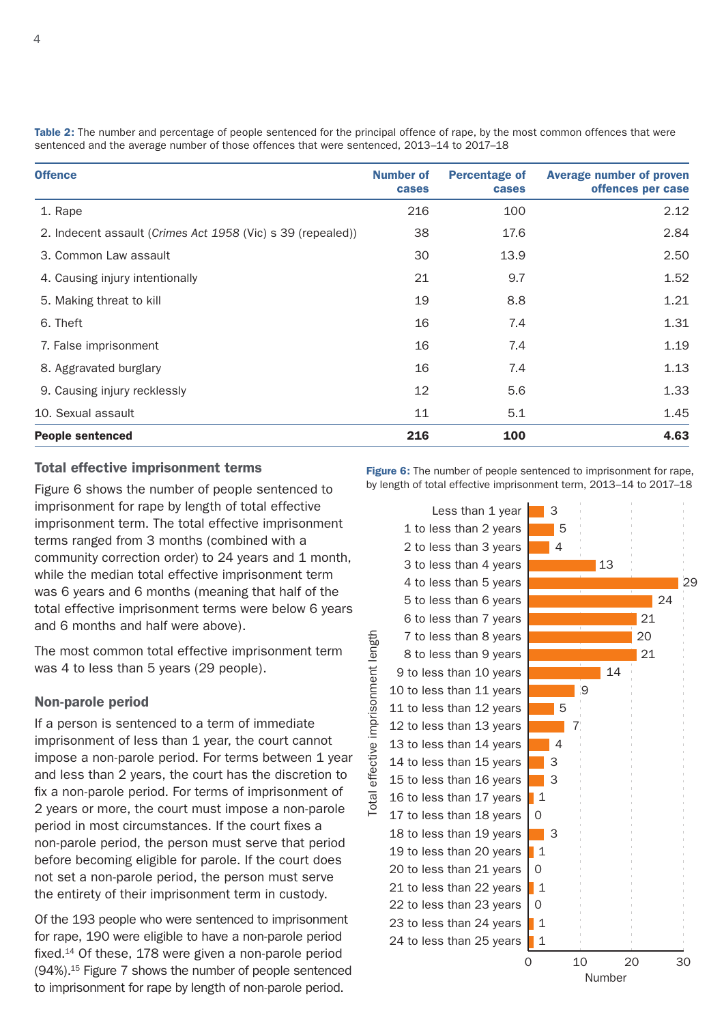| <b>Offence</b>                                              | <b>Number of</b><br>cases | <b>Percentage of</b><br>cases | <b>Average number of proven</b><br>offences per case |
|-------------------------------------------------------------|---------------------------|-------------------------------|------------------------------------------------------|
| 1. Rape                                                     | 216                       | 100                           | 2.12                                                 |
| 2. Indecent assault (Crimes Act 1958 (Vic) s 39 (repealed)) | 38                        | 17.6                          | 2.84                                                 |
| 3. Common Law assault                                       | 30                        | 13.9                          | 2.50                                                 |
| 4. Causing injury intentionally                             | 21                        | 9.7                           | 1.52                                                 |
| 5. Making threat to kill                                    | 19                        | 8.8                           | 1.21                                                 |
| 6. Theft                                                    | 16                        | 7.4                           | 1.31                                                 |
| 7. False imprisonment                                       | 16                        | 7.4                           | 1.19                                                 |
| 8. Aggravated burglary                                      | 16                        | 7.4                           | 1.13                                                 |
| 9. Causing injury recklessly                                | 12                        | 5.6                           | 1.33                                                 |
| 10. Sexual assault                                          | 11                        | 5.1                           | 1.45                                                 |
| <b>People sentenced</b>                                     | 216                       | 100                           | 4.63                                                 |

Table 2: The number and percentage of people sentenced for the principal offence of rape, by the most common offences that were sentenced and the average number of those offences that were sentenced, 2013–14 to 2017–18

#### Total effective imprisonment terms

Figure 6 shows the number of people sentenced to imprisonment for rape by length of total effective imprisonment term. The total effective imprisonment terms ranged from 3 months (combined with a community correction order) to 24 years and 1 month, while the median total effective imprisonment term was 6 years and 6 months (meaning that half of the total effective imprisonment terms were below 6 years and 6 months and half were above).

The most common total effective imprisonment term was 4 to less than 5 years (29 people).

#### Non-parole period

If a person is sentenced to a term of immediate imprisonment of less than 1 year, the court cannot impose a non-parole period. For terms between 1 year and less than 2 years, the court has the discretion to fix a non-parole period. For terms of imprisonment of 2 years or more, the court must impose a non-parole period in most circumstances. If the court fixes a non-parole period, the person must serve that period before becoming eligible for parole. If the court does not set a non-parole period, the person must serve the entirety of their imprisonment term in custody.

Of the 193 people who were sentenced to imprisonment for rape, 190 were eligible to have a non-parole period fixed.14 Of these, 178 were given a non-parole period (94%).15 Figure 7 shows the number of people sentenced to imprisonment for rape by length of non-parole period.

Figure 6: The number of people sentenced to imprisonment for rape, by length of total effective imprisonment term, 2013–14 to 2017–18

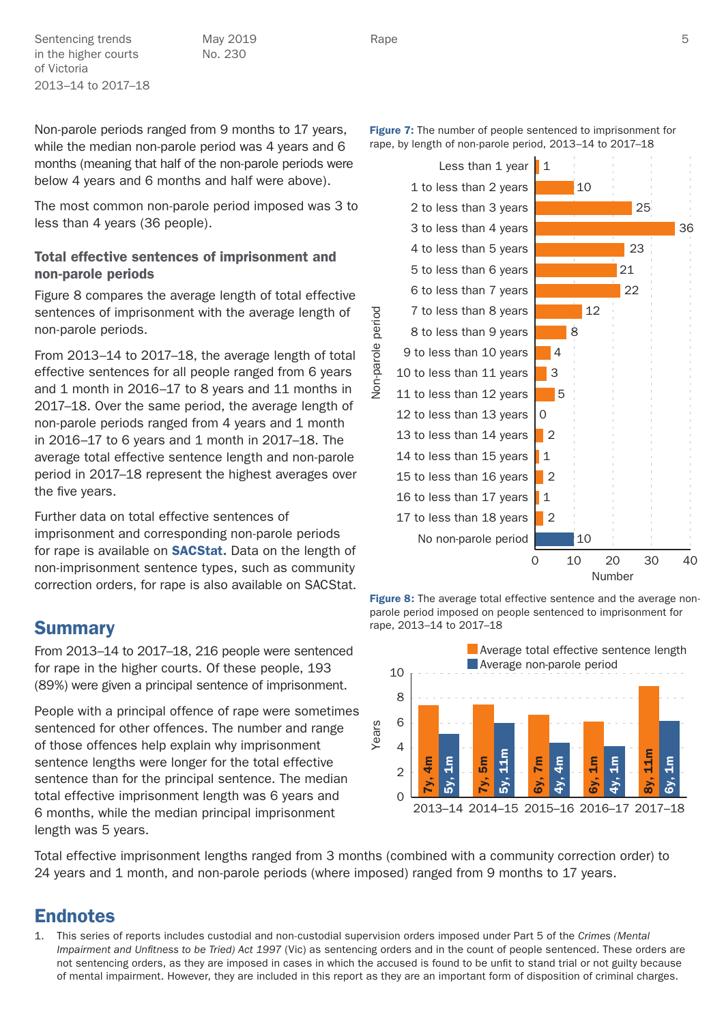Sentencing trends May 2019 Rape Rape States and States and States and States and States and States and States S in the higher courts of Victoria 2013–14 to 2017–18

May 2019 No. 230

Non-parole periods ranged from 9 months to 17 years, while the median non-parole period was 4 years and 6 months (meaning that half of the non-parole periods were below 4 years and 6 months and half were above).

The most common non-parole period imposed was 3 to less than 4 years (36 people).

### Total effective sentences of imprisonment and non-parole periods

Figure 8 compares the average length of total effective sentences of imprisonment with the average length of non-parole periods.

From 2013–14 to 2017–18, the average length of total effective sentences for all people ranged from 6 years and 1 month in 2016–17 to 8 years and 11 months in 2017–18. Over the same period, the average length of non-parole periods ranged from 4 years and 1 month in 2016–17 to 6 years and 1 month in 2017–18. The average total effective sentence length and non-parole period in 2017–18 represent the highest averages over the five years.

Further data on total effective sentences of imprisonment and corresponding non-parole periods for rape is available on **[SACStat](https://www.sentencingcouncil.vic.gov.au/sacstat/higher_courts/HC_6231_38_1.html)**. Data on the length of non-imprisonment sentence types, such as community correction orders, for rape is also available on SACStat.

## **Summary**

From 2013–14 to 2017–18, 216 people were sentenced for rape in the higher courts. Of these people, 193 (89%) were given a principal sentence of imprisonment.

People with a principal offence of rape were sometimes sentenced for other offences. The number and range of those offences help explain why imprisonment sentence lengths were longer for the total effective sentence than for the principal sentence. The median total effective imprisonment length was 6 years and 6 months, while the median principal imprisonment length was 5 years.

Total effective imprisonment lengths ranged from 3 months (combined with a community correction order) to 24 years and 1 month, and non-parole periods (where imposed) ranged from 9 months to 17 years.

## Endnotes

1. This series of reports includes custodial and non-custodial supervision orders imposed under Part 5 of the *Crimes (Mental Impairment and Unfitness to be Tried) Act 1997* (Vic) as sentencing orders and in the count of people sentenced. These orders are not sentencing orders, as they are imposed in cases in which the accused is found to be unfit to stand trial or not guilty because of mental impairment. However, they are included in this report as they are an important form of disposition of criminal charges.

Less than 1 year  $\vert$  1







Rape